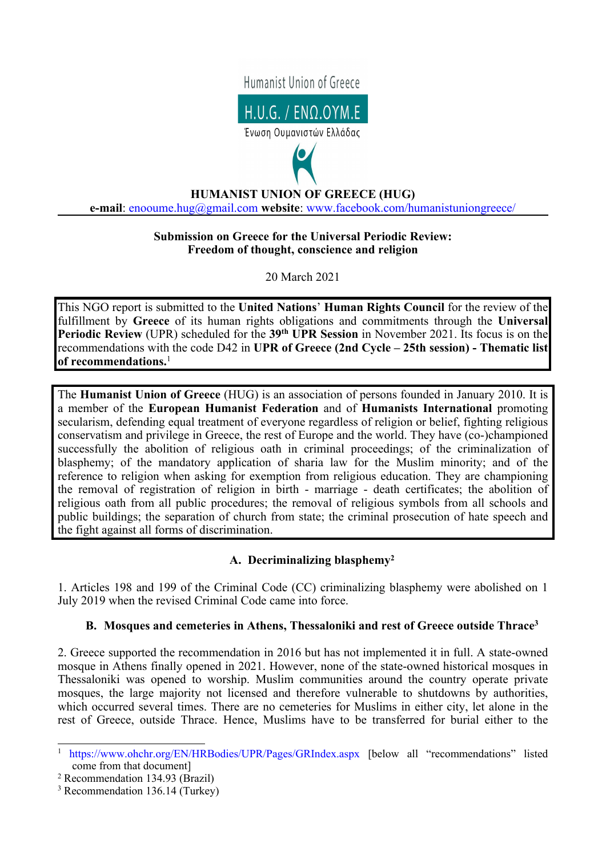



# **HUMANIST UNION OF GREECE (HUG) e-mail**: [enooume.hug@gmail.com](mailto:enooume.hug@gmail.com) **website**: [www.facebook.com/humanistuniongreece/](http://www.facebook.com/humanistuniongreece/)

## **Submission on Greece for the Universal Periodic Review: Freedom of thought, conscience and religion**

20 March 2021

This NGO repor<sup>t</sup> is submitted to the **United Nations**' **Human Rights Council** for the review of the fulfillment by **Greece** of its human rights obligations and commitments through the **Universal Periodic Review** (UPR) scheduled for the **39th UPR Session** in November 2021. Its focus is on the recommendations with the code D42 in **UPR of Greece (2nd Cycle – 25th session) - Thematic list of recommendations.** 1

The **Humanist Union of Greece** (HUG) is an association of persons founded in January 2010. It is <sup>a</sup> member of the **European Humanist Federation** and of **Humanists International** promoting secularism, defending equal treatment of everyone regardless of religion or belief, fighting religious conservatism and privilege in Greece, the rest of Europe and the world. They have (co-)championed successfully the abolition of religious oath in criminal proceedings; of the criminalization of blasphemy; of the mandatory application of sharia law for the Muslim minority; and of the reference to religion when asking for exemption from religious education. They are championing the removal of registration of religion in birth - marriage - death certificates; the abolition of religious oath from all public procedures; the removal of religious symbols from all schools and public buildings; the separation of church from state; the criminal prosecution of hate speech and the fight against all forms of discrimination.

# **A. Decriminalizing blasphemy<sup>2</sup>**

1. Articles 198 and 199 of the Criminal Code (CC) criminalizing blasphemy were abolished on 1 July 2019 when the revised Criminal Code came into force.

# **B. Mosques and cemeteries in Athens, Thessaloniki and rest of Greece outside Thrace<sup>3</sup>**

2. Greece supported the recommendation in 2016 but has not implemented it in full. A state-owned mosque in Athens finally opened in 2021. However, none of the state-owned historical mosques in Thessaloniki was opened to worship. Muslim communities around the country operate private mosques, the large majority not licensed and therefore vulnerable to shutdowns by authorities, which occurred several times. There are no cemeteries for Muslims in either city, let alone in the rest of Greece, outside Thrace. Hence, Muslims have to be transferred for burial either to the

<sup>1</sup> <https://www.ohchr.org/EN/HRBodies/UPR/Pages/GRIndex.aspx> [below all "recommendations" listed come from that document]

<sup>2</sup> Recommendation 134.93 (Brazil)

<sup>3</sup> Recommendation 136.14 (Turkey)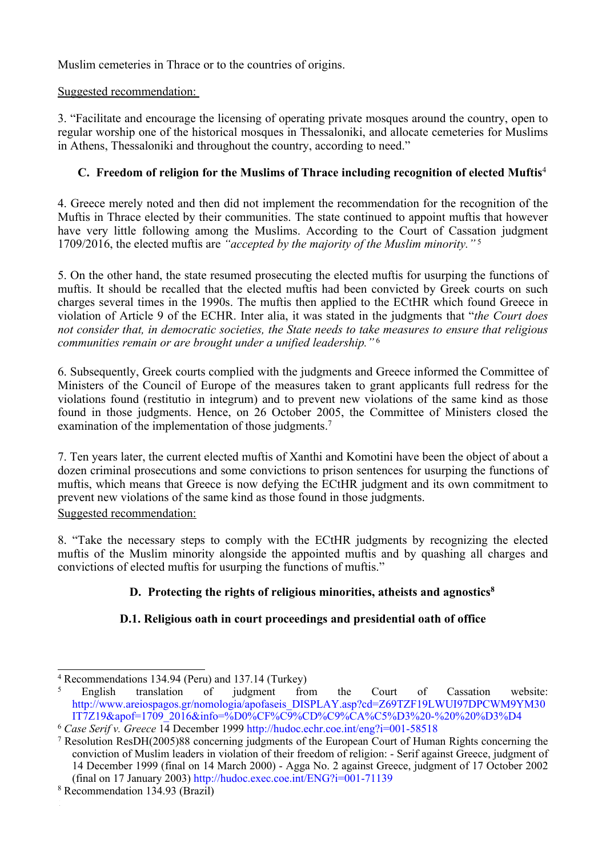Muslim cemeteries in Thrace or to the countries of origins.

## Suggested recommendation:

3. "Facilitate and encourage the licensing of operating private mosques around the country, open to regular worship one of the historical mosques in Thessaloniki, and allocate cemeteries for Muslims in Athens, Thessaloniki and throughout the country, according to need."

# **C. Freedom of religion for the Muslims of Thrace including recognition of elected Muftis** 4

4. Greece merely noted and then did not implement the recommendation for the recognition of the Muftis in Thrace elected by their communities. The state continued to appoint muftis that however have very little following among the Muslims. According to the Court of Cassation judgment 1709/2016, the elected muftis are *"accepted by the majority of the Muslim minority."* <sup>5</sup>

5. On the other hand, the state resumed prosecuting the elected muftis for usurping the functions of muftis. It should be recalled that the elected muftis had been convicted by Greek courts on such charges several times in the 1990s. The muftis then applied to the ECtHR which found Greece in violation of Article 9 of the ECHR. Inter alia, it was stated in the judgments that "*the Court does not consider that, in democratic societies, the State needs to take measures to ensure that religious communities remain or are brought under <sup>a</sup> unified leadership."* <sup>6</sup>

6. Subsequently, Greek courts complied with the judgments and Greece informed the Committee of Ministers of the Council of Europe of the measures taken to gran<sup>t</sup> applicants full redress for the violations found (restitutio in integrum) and to preven<sup>t</sup> new violations of the same kind as those found in those judgments. Hence, on 26 October 2005, the Committee of Ministers closed the examination of the implementation of those judgments.<sup>7</sup>

7. Ten years later, the current elected muftis of Xanthi and Komotini have been the object of about <sup>a</sup> dozen criminal prosecutions and some convictions to prison sentences for usurping the functions of muftis, which means that Greece is now defying the ECtHR judgment and its own commitment to preven<sup>t</sup> new violations of the same kind as those found in those judgments. Suggested recommendation:

8. "Take the necessary steps to comply with the ECtHR judgments by recognizing the elected muftis of the Muslim minority alongside the appointed muftis and by quashing all charges and convictions of elected muftis for usurping the functions of muftis."

# **D. Protecting the rights of religious minorities, atheists and agnostics 8**

# **D.1. Religious oath in court proceedings and presidential oath of office**

<sup>4</sup> Recommendations 134.94 (Peru) and 137.14 (Turkey)

<sup>5</sup> English translation of judgment from the Court of Cassation website: [http://www.areiospagos.gr/nomologia/apofaseis\\_DISPLAY.asp?cd=Z69TZF19LWUI97DPCWM9YM30](http://www.areiospagos.gr/nomologia/apofaseis_DISPLAY.asp?cd=Z69TZF19LWUI97DPCWM9YM30IT7Z19&apof=1709_2016&info=%D0%CF%C9%CD%C9%CA%C5%D3%20-%20%20%D3%D4) [IT7Z19&apof=1709\\_2016&info=%D0%CF%C9%CD%C9%CA%C5%D3%20-%20%20%D3%D4](http://www.areiospagos.gr/nomologia/apofaseis_DISPLAY.asp?cd=Z69TZF19LWUI97DPCWM9YM30IT7Z19&apof=1709_2016&info=%D0%CF%C9%CD%C9%CA%C5%D3%20-%20%20%D3%D4)

<sup>6</sup> *Case Serif v. Greece* <sup>14</sup> December 1999 <http://hudoc.echr.coe.int/eng?i=001-58518>

<sup>7</sup> Resolution ResDH(2005)88 concerning judgments of the European Court of Human Rights concerning the conviction of Muslim leaders in violation of their freedom of religion: - Serif against Greece, judgment of 14 December 1999 (final on 14 March 2000) - Agga No. 2 against Greece, judgment of 17 October 2002 (final on 17 January 2003) <http://hudoc.exec.coe.int/ENG?i=001-71139>

<sup>8</sup> Recommendation 134.93 (Brazil)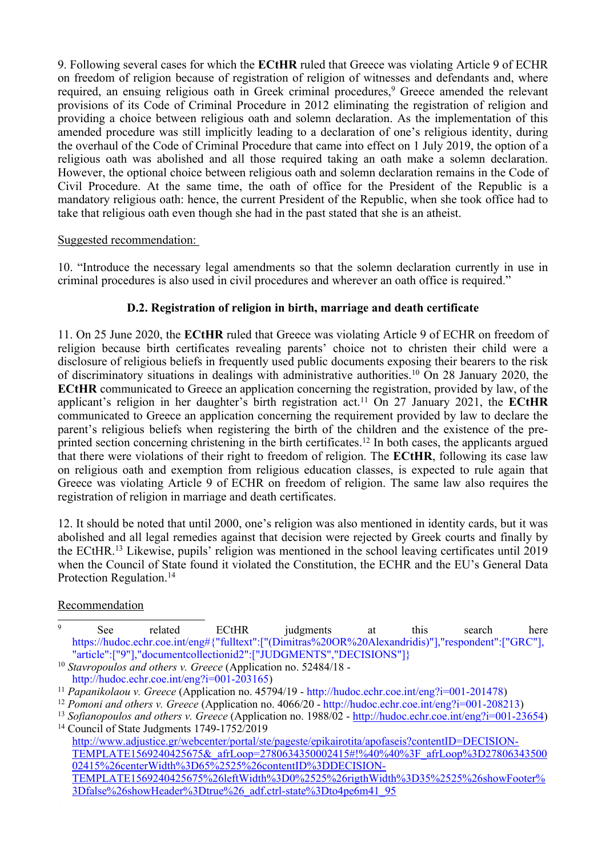9. Following several cases for which the **ECtHR** ruled that Greece was violating Article 9 of ECHR on freedom of religion because of registration of religion of witnesses and defendants and, where required, an ensuing religious oath in Greek criminal procedures, <sup>9</sup> Greece amended the relevant provisions of its Code of Criminal Procedure in 2012 eliminating the registration of religion and providing <sup>a</sup> choice between religious oath and solemn declaration. As the implementation of this amended procedure was still implicitly leading to <sup>a</sup> declaration of one'<sup>s</sup> religious identity, during the overhaul of the Code of Criminal Procedure that came into effect on 1 July 2019, the option of <sup>a</sup> religious oath was abolished and all those required taking an oath make <sup>a</sup> solemn declaration. However, the optional choice between religious oath and solemn declaration remains in the Code of Civil Procedure. At the same time, the oath of office for the President of the Republic is <sup>a</sup> mandatory religious oath: hence, the current President of the Republic, when she took office had to take that religious oath even though she had in the pas<sup>t</sup> stated that she is an atheist.

#### Suggested recommendation:

10. "Introduce the necessary legal amendments so that the solemn declaration currently in use in criminal procedures is also used in civil procedures and wherever an oath office is required."

## **D.2. Registration of religion in birth, marriage and death certificate**

11. On 25 June 2020, the **ECtHR** ruled that Greece was violating Article 9 of ECHR on freedom of religion because birth certificates revealing parents' choice not to christen their child were <sup>a</sup> disclosure of religious beliefs in frequently used public documents exposing their bearers to the risk of discriminatory situations in dealings with administrative authorities. <sup>10</sup> On 28 January 2020, the **ECtHR** communicated to Greece an application concerning the registration, provided by law, of the applicant'<sup>s</sup> religion in her daughter'<sup>s</sup> birth registration act. <sup>11</sup> On 27 January 2021, the **ECtHR** communicated to Greece an application concerning the requirement provided by law to declare the parent'<sup>s</sup> religious beliefs when registering the birth of the children and the existence of the preprinted section concerning christening in the birth certificates. 12 In both cases, the applicants argued that there were violations of their right to freedom of religion. The **ECtHR**, following its case law on religious oath and exemption from religious education classes, is expected to rule again that Greece was violating Article 9 of ECHR on freedom of religion. The same law also requires the registration of religion in marriage and death certificates.

12. It should be noted that until 2000, one'<sup>s</sup> religion was also mentioned in identity cards, but it was abolished and all legal remedies against that decision were rejected by Greek courts and finally by the ECtHR. 13 Likewise, pupils' religion was mentioned in the school leaving certificates until 2019 when the Council of State found it violated the Constitution, the ECHR and the EU'<sup>s</sup> General Data Protection Regulation. 14

## **Recommendation**

 $\overline{9}$ See related ECtHR judgments at this search here [https://hudoc.echr.coe.int/eng#{"fulltext":\["\(Dimitras%20OR%20Alexandridis\)"\],"respondent":\["GRC"\],](https://hudoc.echr.coe.int/eng#{"fulltext":["(Dimitras%20OR%20Alexandridis)"],"respondent":["GRC"],"article":["9"],"documentcollectionid2":["JUDGMENTS","DECISIONS"]}) ["article":\["9"\],"documentcollectionid2":\["JUDGMENTS","DECISIONS"\]}](https://hudoc.echr.coe.int/eng#{"fulltext":["(Dimitras%20OR%20Alexandridis)"],"respondent":["GRC"],"article":["9"],"documentcollectionid2":["JUDGMENTS","DECISIONS"]})

<sup>10</sup> *Stavropoulos and others v. Greece* (Application no. 52484/18 <http://hudoc.echr.coe.int/eng?i=001-203165>)

<sup>11</sup> *Papanikolaou v. Greece* (Application no. 45794/19 - <http://hudoc.echr.coe.int/eng?i=001-201478>)

<sup>12</sup> *Pomoni and others v. Greece* (Application no. 4066/20 - <http://hudoc.echr.coe.int/eng?i=001-208213>)

<sup>13</sup> *Sofianopoulos and others v. Greece* (Application no. 1988/02 - [http://hudoc.echr.coe.int/eng?i=001-23654\)](http://hudoc.echr.coe.int/eng?i=001-23654) <sup>14</sup> Council of State Judgments 1749-1752/2019

[http://www.adjustice.gr/webcenter/portal/ste/pageste/epikairotita/apofaseis?contentID=DECISION-](http://www.adjustice.gr/webcenter/portal/ste/pageste/epikairotita/apofaseis?contentID=DECISION-TEMPLATE1569240425675&_afrLoop=2780634350002415#!%40%40%3F_afrLoop%3D2780634350002415%26centerWidth%3D65%2525%26contentID%3DDECISION-TEMPLATE1569240425675%26leftWidth%3D0%2525%26rigthWidth%3D35%2525%26showFooter%3Dfalse%26showHeader%3Dtrue%26_adf.ctrl-state%3Dto4pe6m41_95)[TEMPLATE1569240425675&\\_afrLoop=2780634350002415#!%40%40%3F\\_afrLoop%3D27806343500](http://www.adjustice.gr/webcenter/portal/ste/pageste/epikairotita/apofaseis?contentID=DECISION-TEMPLATE1569240425675&_afrLoop=2780634350002415#!%40%40%3F_afrLoop%3D2780634350002415%26centerWidth%3D65%2525%26contentID%3DDECISION-TEMPLATE1569240425675%26leftWidth%3D0%2525%26rigthWidth%3D35%2525%26showFooter%3Dfalse%26showHeader%3Dtrue%26_adf.ctrl-state%3Dto4pe6m41_95) [02415%26centerWidth%3D65%2525%26contentID%3DDECISION-](http://www.adjustice.gr/webcenter/portal/ste/pageste/epikairotita/apofaseis?contentID=DECISION-TEMPLATE1569240425675&_afrLoop=2780634350002415#!%40%40%3F_afrLoop%3D2780634350002415%26centerWidth%3D65%2525%26contentID%3DDECISION-TEMPLATE1569240425675%26leftWidth%3D0%2525%26rigthWidth%3D35%2525%26showFooter%3Dfalse%26showHeader%3Dtrue%26_adf.ctrl-state%3Dto4pe6m41_95)[TEMPLATE1569240425675%26leftWidth%3D0%2525%26rigthWidth%3D35%2525%26showFooter%](http://www.adjustice.gr/webcenter/portal/ste/pageste/epikairotita/apofaseis?contentID=DECISION-TEMPLATE1569240425675&_afrLoop=2780634350002415#!%40%40%3F_afrLoop%3D2780634350002415%26centerWidth%3D65%2525%26contentID%3DDECISION-TEMPLATE1569240425675%26leftWidth%3D0%2525%26rigthWidth%3D35%2525%26showFooter%3Dfalse%26showHeader%3Dtrue%26_adf.ctrl-state%3Dto4pe6m41_95) [3Dfalse%26showHeader%3Dtrue%26\\_adf.ctrl-state%3Dto4pe6m41\\_95](http://www.adjustice.gr/webcenter/portal/ste/pageste/epikairotita/apofaseis?contentID=DECISION-TEMPLATE1569240425675&_afrLoop=2780634350002415#!%40%40%3F_afrLoop%3D2780634350002415%26centerWidth%3D65%2525%26contentID%3DDECISION-TEMPLATE1569240425675%26leftWidth%3D0%2525%26rigthWidth%3D35%2525%26showFooter%3Dfalse%26showHeader%3Dtrue%26_adf.ctrl-state%3Dto4pe6m41_95)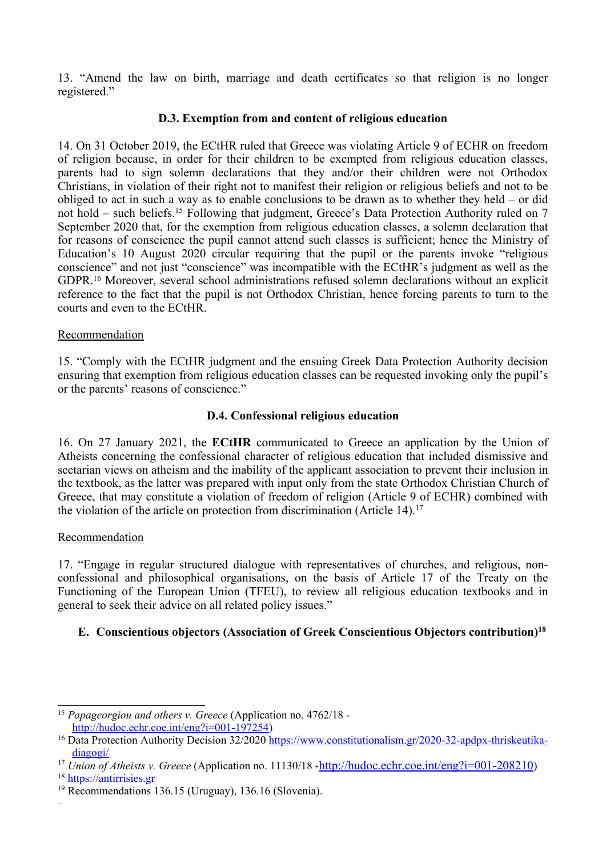13. "Amend the law on birth, marriage and death certificates so that religion is no longer registered."

#### **D.3. Exemption from and content of religious education**

14. On 31 October 2019, the ECtHR ruled that Greece was violating Article 9 of ECHR on freedom of religion because, in order for their children to be exempted from religious education classes, parents had to sign solemn declarations that they and/or their children were not Orthodox Christians, in violation of their right not to manifest their religion or religious beliefs and not to be obliged to act in such <sup>a</sup> way as to enable conclusions to be drawn as to whether they held – or did not hold – such beliefs.<sup>15</sup> Following that judgment, Greece's Data Protection Authority ruled on 7 September 2020 that, for the exemption from religious education classes, <sup>a</sup> solemn declaration that for reasons of conscience the pupil cannot attend such classes is sufficient; hence the Ministry of Education'<sup>s</sup> 10 August 2020 circular requiring that the pupil or the parents invoke "religious conscience" and not just "conscience" was incompatible with the ECtHR'<sup>s</sup> judgment as well as the GDPR. <sup>16</sup> Moreover, several school administrations refused solemn declarations without an explicit reference to the fact that the pupil is not Orthodox Christian, hence forcing parents to turn to the courts and even to the ECtHR.

#### Recommendation

15. "Comply with the ECtHR judgment and the ensuing Greek Data Protection Authority decision ensuring that exemption from religious education classes can be requested invoking only the pupil'<sup>s</sup> or the parents' reasons of conscience."

#### **D.4. Confessional religious education**

16. On 27 January 2021, the **ECtHR** communicated to Greece an application by the Union of Atheists concerning the confessional character of religious education that included dismissive and sectarian views on atheism and the inability of the applicant association to preven<sup>t</sup> their inclusion in the textbook, as the latter was prepared with input only from the state Orthodox Christian Church of Greece, that may constitute <sup>a</sup> violation of freedom of religion (Article 9 of ECHR) combined with the violation of the article on protection from discrimination (Article 14). 17

#### Recommendation

17. "Engage in regular structured dialogue with representatives of churches, and religious, nonconfessional and philosophical organisations, on the basis of Article 17 of the Treaty on the Functioning of the European Union (TFEU), to review all religious education textbooks and in general to seek their advice on all related policy issues."

## **E. Conscientious objectors (Association of Greek Conscientious Objectors contribution) 18**

 $\sim 40$ 

<sup>15</sup> *Papageorgiou and others v. Greece* (Application no. 4762/18 <http://hudoc.echr.coe.int/eng?i=001-197254>)

<sup>&</sup>lt;sup>16</sup> Data Protection Authority Decision 32/2020 [https://www.constitutionalism.gr/2020-32-apdpx-thriskeutika](https://www.constitutionalism.gr/2020-32-apdpx-thriskeutika-diagogi/)[diagogi/](https://www.constitutionalism.gr/2020-32-apdpx-thriskeutika-diagogi/)

<sup>&</sup>lt;sup>17</sup> *Union of Atheists v. Greece* (Application no. 11130/18 -<http://hudoc.echr.coe.int/eng?i=001-208210>)

<sup>18</sup> <https://antirrisies.gr>

<sup>19</sup> Recommendations 136.15 (Uruguay), 136.16 (Slovenia).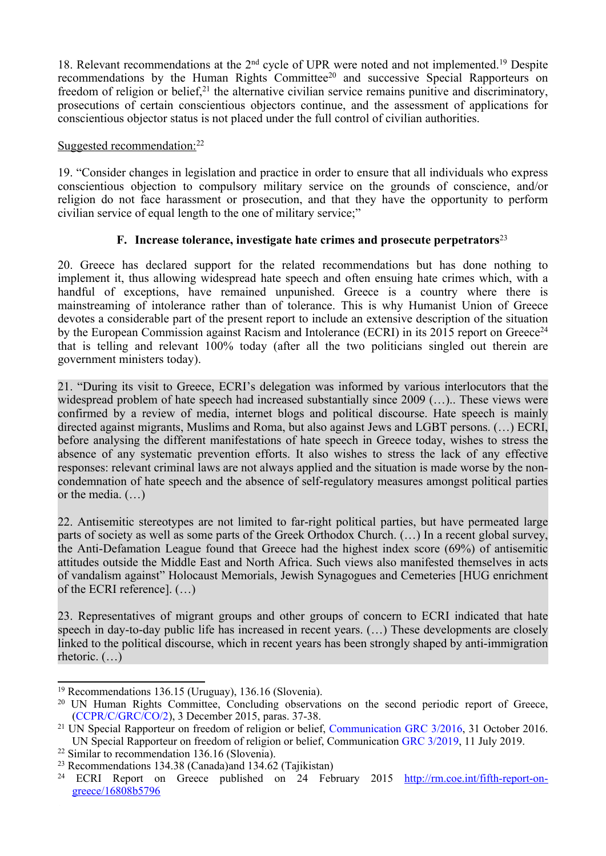18. Relevant recommendations at the 2<sup>nd</sup> cycle of UPR were noted and not implemented.<sup>19</sup> Despite recommendations by the Human Rights Committee<sup>20</sup> and successive Special Rapporteurs on freedom of religion or belief,<sup>21</sup> the alternative civilian service remains punitive and discriminatory, prosecutions of certain conscientious objectors continue, and the assessment of applications for conscientious objector status is not placed under the full control of civilian authorities.

Suggested recommendation:<sup>22</sup>

19. "Consider changes in legislation and practice in order to ensure that all individuals who express conscientious objection to compulsory military service on the grounds of conscience, and/or religion do not face harassment or prosecution, and that they have the opportunity to perform civilian service of equal length to the one of military service;"

## **F. Increase tolerance, investigate hate crimes and prosecute perpetrators** 23

20. Greece has declared suppor<sup>t</sup> for the related recommendations but has done nothing to implement it, thus allowing widespread hate speech and often ensuing hate crimes which, with <sup>a</sup> handful of exceptions, have remained unpunished. Greece is <sup>a</sup> country where there is mainstreaming of intolerance rather than of tolerance. This is why Humanist Union of Greece devotes <sup>a</sup> considerable par<sup>t</sup> of the presen<sup>t</sup> repor<sup>t</sup> to include an extensive description of the situation by the European Commission against Racism and Intolerance (ECRI) in its 2015 report on Greece<sup>24</sup> that is telling and relevant 100% today (after all the two politicians singled out therein are governmen<sup>t</sup> ministers today).

21. "During its visit to Greece, ECRI'<sup>s</sup> delegation was informed by various interlocutors that the widespread problem of hate speech had increased substantially since 2009 (…).. These views were confirmed by <sup>a</sup> review of media, internet blogs and political discourse. Hate speech is mainly directed against migrants, Muslims and Roma, but also against Jews and LGBT persons. (…) ECRI, before analysing the different manifestations of hate speech in Greece today, wishes to stress the absence of any systematic prevention efforts. It also wishes to stress the lack of any effective responses: relevant criminal laws are not always applied and the situation is made worse by the noncondemnation of hate speech and the absence of self-regulatory measures amongs<sup>t</sup> political parties or the media. (…)

22. Antisemitic stereotypes are not limited to far-right political parties, but have permeated large parts of society as well as some parts of the Greek Orthodox Church. (…) In <sup>a</sup> recent global survey, the Anti-Defamation League found that Greece had the highest index score (69%) of antisemitic attitudes outside the Middle East and North Africa. Such views also manifested themselves in acts of vandalism against" Holocaust Memorials, Jewish Synagogues and Cemeteries [HUG enrichment of the ECRI reference]. (…)

23. Representatives of migrant groups and other groups of concern to ECRI indicated that hate speech in day-to-day public life has increased in recent years. (…) These developments are closely linked to the political discourse, which in recent years has been strongly shaped by anti-immigration rhetoric. (…)

<sup>19</sup> Recommendations 136.15 (Uruguay), 136.16 (Slovenia).

<sup>&</sup>lt;sup>20</sup> UN Human Rights Committee, Concluding observations on the second periodic report of Greece, ([CCPR/C/GRC/CO/2\)](https://tbinternet.ohchr.org/_layouts/treatybodyexternal/Download.aspx?symbolno=CCPR%2fC%2fGRC%2fCO%2f2&Lang=en), 3 December 2015, paras. 37-38.

<sup>&</sup>lt;sup>21</sup> UN Special Rapporteur on freedom of religion or belief, [Communication](https://spcommreports.ohchr.org/TMResultsBase/DownLoadPublicCommunicationFile?gId=22834) GRC 3/2016, 31 October 2016. UN Special Rapporteur on freedom of religion or belief, Communication GRC [3/2019](https://spcommreports.ohchr.org/TMResultsBase/DownLoadPublicCommunicationFile?gId=24700), 11 July 2019.

<sup>22</sup> Similar to recommendation 136.16 (Slovenia).

<sup>&</sup>lt;sup>23</sup> Recommendations 134.38 (Canada)and 134.62 (Tajikistan)

<sup>&</sup>lt;sup>24</sup> ECRI Report on Greece published on 24 February 2015 [http://rm.coe.int/fifth-report-on](http://rm.coe.int/fifth-report-on-greece/16808b5796)[greece/16808b5796](http://rm.coe.int/fifth-report-on-greece/16808b5796)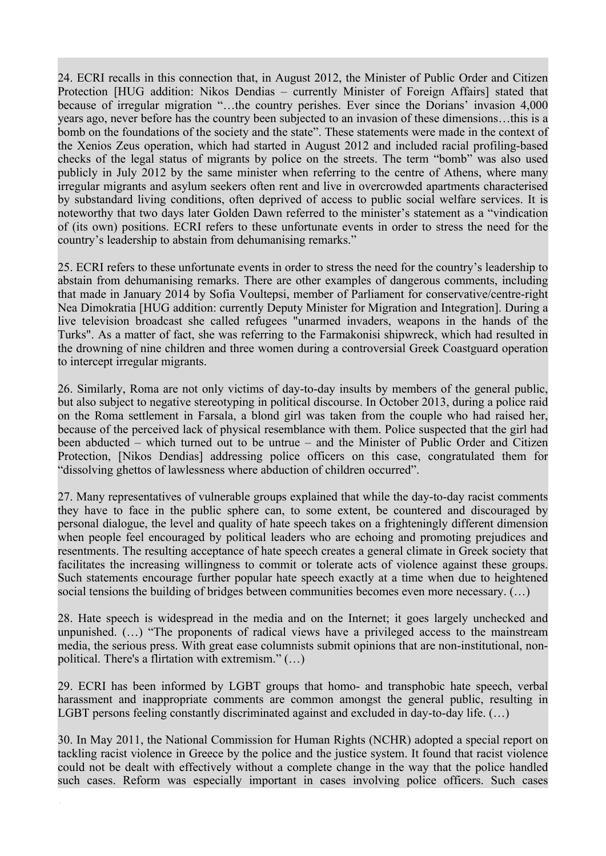24. ECRI recalls in this connection that, in August 2012, the Minister of Public Order and Citizen Protection [HUG addition: Nikos Dendias – currently Minister of Foreign Affairs] stated that because of irregular migration "…the country perishes. Ever since the Dorians' invasion 4,000 years ago, never before has the country been subjected to an invasion of these dimensions…this is <sup>a</sup> bomb on the foundations of the society and the state". These statements were made in the context of the Xenios Zeus operation, which had started in August 2012 and included racial profiling-based checks of the legal status of migrants by police on the streets. The term "bomb" was also used publicly in July 2012 by the same minister when referring to the centre of Athens, where many irregular migrants and asylum seekers often rent and live in overcrowded apartments characterised by substandard living conditions, often deprived of access to public social welfare services. It is noteworthy that two days later Golden Dawn referred to the minister'<sup>s</sup> statement as <sup>a</sup> "vindication of (its own) positions. ECRI refers to these unfortunate events in order to stress the need for the country'<sup>s</sup> leadership to abstain from dehumanising remarks."

25. ECRI refers to these unfortunate events in order to stress the need for the country'<sup>s</sup> leadership to abstain from dehumanising remarks. There are other examples of dangerous comments, including that made in January 2014 by Sofia Voultepsi, member of Parliament for conservative/centre-right Nea Dimokratia [HUG addition: currently Deputy Minister for Migration and Integration]. During <sup>a</sup> live television broadcast she called refugees "unarmed invaders, weapons in the hands of the Turks". As <sup>a</sup> matter of fact, she was referring to the Farmakonisi shipwreck, which had resulted in the drowning of nine children and three women during <sup>a</sup> controversial Greek Coastguard operation to intercept irregular migrants.

26. Similarly, Roma are not only victims of day-to-day insults by members of the general public, but also subject to negative stereotyping in political discourse. In October 2013, during <sup>a</sup> police raid on the Roma settlement in Farsala, <sup>a</sup> blond girl was taken from the couple who had raised her, because of the perceived lack of physical resemblance with them. Police suspected that the girl had been abducted – which turned out to be untrue – and the Minister of Public Order and Citizen Protection, [Nikos Dendias] addressing police officers on this case, congratulated them for "dissolving ghettos of lawlessness where abduction of children occurred".

27. Many representatives of vulnerable groups explained that while the day-to-day racist comments they have to face in the public sphere can, to some extent, be countered and discouraged by personal dialogue, the level and quality of hate speech takes on <sup>a</sup> frighteningly different dimension when people feel encouraged by political leaders who are echoing and promoting prejudices and resentments. The resulting acceptance of hate speech creates <sup>a</sup> general climate in Greek society that facilitates the increasing willingness to commit or tolerate acts of violence against these groups. Such statements encourage further popular hate speech exactly at <sup>a</sup> time when due to heightened social tensions the building of bridges between communities becomes even more necessary. (…)

28. Hate speech is widespread in the media and on the Internet; it goes largely unchecked and unpunished. (…) "The proponents of radical views have <sup>a</sup> privileged access to the mainstream media, the serious press. With grea<sup>t</sup> ease columnists submit opinions that are non-institutional, nonpolitical. There's <sup>a</sup> flirtation with extremism." (…)

29. ECRI has been informed by LGBT groups that homo- and transphobic hate speech, verbal harassment and inappropriate comments are common amongs<sup>t</sup> the general public, resulting in LGBT persons feeling constantly discriminated against and excluded in day-to-day life. (…)

30. In May 2011, the National Commission for Human Rights (NCHR) adopted <sup>a</sup> special repor<sup>t</sup> on tackling racist violence in Greece by the police and the justice system. It found that racist violence could not be dealt with effectively without <sup>a</sup> complete change in the way that the police handled such cases. Reform was especially important in cases involving police officers. Such cases